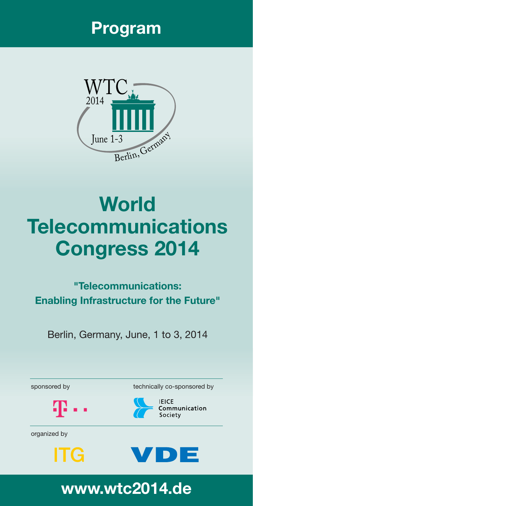



# **World Telecommunications Congress 2014**

**"Telecommunications: Enabling Infrastructure for the Future"**

Berlin, Germany, June, 1 to 3, 2014



**www.wtc2014.de**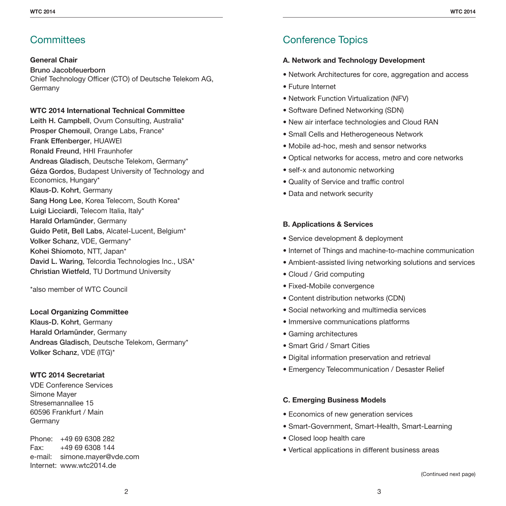# **Committees**

# **General Chair**

**Bruno Jacobfeuerborn** Chief Technology Officer (CTO) of Deutsche Telekom AG, Germany

# **WTC 2014 International Technical Committee**

**Leith H. Campbell**, Ovum Consulting, Australia\* **Prosper Chemouil**, Orange Labs, France\* **Frank Effenberger**, HUAWEI **Ronald Freund**, HHI Fraunhofer **Andreas Gladisch**, Deutsche Telekom, Germany\* **Géza Gordos**, Budapest University of Technology and Economics, Hungary\* **Klaus-D. Kohrt**, Germany **Sang Hong Lee**, Korea Telecom, South Korea\* **Luigi Licciardi**, Telecom Italia, Italy\* **Harald Orlamünder**, Germany **Guido Petit, Bell Labs**, Alcatel-Lucent, Belgium\* **Volker Schanz**, VDE, Germany\* **Kohei Shiomoto**, NTT, Japan\* **David L. Waring**, Telcordia Technologies Inc., USA\* **Christian Wietfeld**, TU Dortmund University

\*also member of WTC Council

# **Local Organizing Committee**

**Klaus-D. Kohrt**, Germany **Harald Orlamünder**, Germany **Andreas Gladisch**, Deutsche Telekom, Germany\* **Volker Schanz**, VDE (ITG)\*

### **WTC 2014 Secretariat**

VDE Conference Services Simone Mayer Stresemannallee 15 60596 Frankfurt / Main Germany

Phone: +49 69 6308 282 Fax: +49 69 6308 144 e-mail: simone.mayer@vde.com Internet: www.wtc2014.de

# Conference Topics

# **A. Network and Technology Development**

- Network Architectures for core, aggregation and access
- Future Internet
- Network Function Virtualization (NFV)
- Software Defined Networking (SDN)
- New air interface technologies and Cloud RAN
- Small Cells and Hetherogeneous Network
- Mobile ad-hoc, mesh and sensor networks
- Optical networks for access, metro and core networks
- self-x and autonomic networking
- Quality of Service and traffic control
- Data and network security

# **B. Applications & Services**

- Service development & deployment
- Internet of Things and machine-to-machine communication
- Ambient-assisted living networking solutions and services
- Cloud / Grid computing
- Fixed-Mobile convergence
- Content distribution networks (CDN)
- Social networking and multimedia services
- Immersive communications platforms
- Gaming architectures
- Smart Grid / Smart Cities
- Digital information preservation and retrieval
- Emergency Telecommunication / Desaster Relief

### **C. Emerging Business Models**

- Economics of new generation services
- Smart-Government, Smart-Health, Smart-Learning
- Closed loop health care
- Vertical applications in different business areas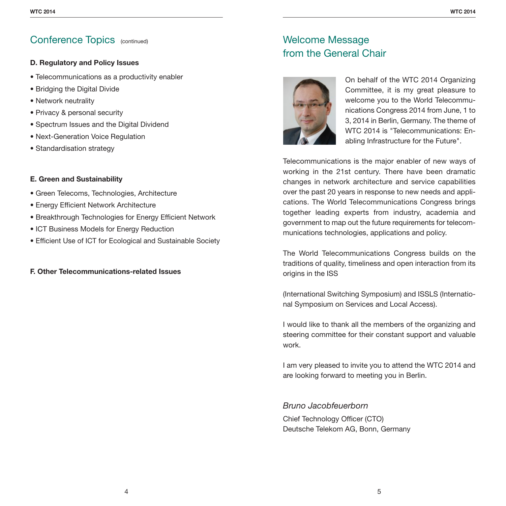# Conference Topics (continued)

#### **D. Regulatory and Policy Issues**

- Telecommunications as a productivity enabler
- Bridging the Digital Divide
- Network neutrality
- Privacy & personal security
- Spectrum Issues and the Digital Dividend
- Next-Generation Voice Regulation
- Standardisation strategy

#### **E. Green and Sustainability**

- Green Telecoms, Technologies, Architecture
- Energy Efficient Network Architecture
- Breakthrough Technologies for Energy Efficient Network
- ICT Business Models for Energy Reduction
- Efficient Use of ICT for Ecological and Sustainable Society

### **F. Other Telecommunications-related Issues**

# Welcome Message from the General Chair



On behalf of the WTC 2014 Organizing Committee, it is my great pleasure to welcome you to the World Telecommunications Congress 2014 from June, 1 to 3, 2014 in Berlin, Germany. The theme of WTC 2014 is "Telecommunications: Enabling Infrastructure for the Future".

Telecommunications is the major enabler of new ways of working in the 21st century. There have been dramatic changes in network architecture and service capabilities over the past 20 years in response to new needs and applications. The World Telecommunications Congress brings together leading experts from industry, academia and government to map out the future requirements for telecommunications technologies, applications and policy.

The World Telecommunications Congress builds on the traditions of quality, timeliness and open interaction from its origins in the ISS

(International Switching Symposium) and ISSLS (International Symposium on Services and Local Access).

I would like to thank all the members of the organizing and steering committee for their constant support and valuable work.

I am very pleased to invite you to attend the WTC 2014 and are looking forward to meeting you in Berlin.

### Bruno Jacobfeuerborn

Chief Technology Officer (CTO) Deutsche Telekom AG, Bonn, Germany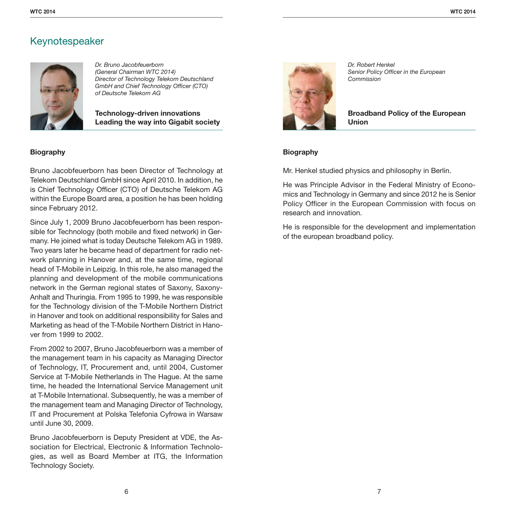# Keynotespeaker



Dr. Bruno Jacobfeuerborn (General Chairman WTC 2014) Director of Technology Telekom Deutschland GmbH and Chief Technology Officer (CTO) of Deutsche Telekom AG

**Technology-driven innovations Leading the way into Gigabit society**

# **Biography**

Bruno Jacobfeuerborn has been Director of Technology at Telekom Deutschland GmbH since April 2010. In addition, he is Chief Technology Officer (CTO) of Deutsche Telekom AG within the Europe Board area, a position he has been holding since February 2012.

Since July 1, 2009 Bruno Jacobfeuerborn has been responsible for Technology (both mobile and fixed network) in Germany. He joined what is today Deutsche Telekom AG in 1989. Two years later he became head of department for radio network planning in Hanover and, at the same time, regional head of T-Mobile in Leipzig. In this role, he also managed the planning and development of the mobile communications network in the German regional states of Saxony, Saxony-Anhalt and Thuringia. From 1995 to 1999, he was responsible for the Technology division of the T-Mobile Northern District in Hanover and took on additional responsibility for Sales and Marketing as head of the T-Mobile Northern District in Hanover from 1999 to 2002.

From 2002 to 2007, Bruno Jacobfeuerborn was a member of the management team in his capacity as Managing Director of Technology, IT, Procurement and, until 2004, Customer Service at T-Mobile Netherlands in The Hague. At the same time, he headed the International Service Management unit at T-Mobile International. Subsequently, he was a member of the management team and Managing Director of Technology, IT and Procurement at Polska Telefonia Cyfrowa in Warsaw until June 30, 2009.

Bruno Jacobfeuerborn is Deputy President at VDE, the Association for Electrical, Electronic & Information Technologies, as well as Board Member at ITG, the Information Technology Society.



Dr. Robert Henkel Senior Policy Officer in the European Commission

**Broadband Policy of the European Union**

# **Biography**

Mr. Henkel studied physics and philosophy in Berlin.

He was Principle Advisor in the Federal Ministry of Economics and Technology in Germany and since 2012 he is Senior Policy Officer in the European Commission with focus on research and innovation.

He is responsible for the development and implementation of the european broadband policy.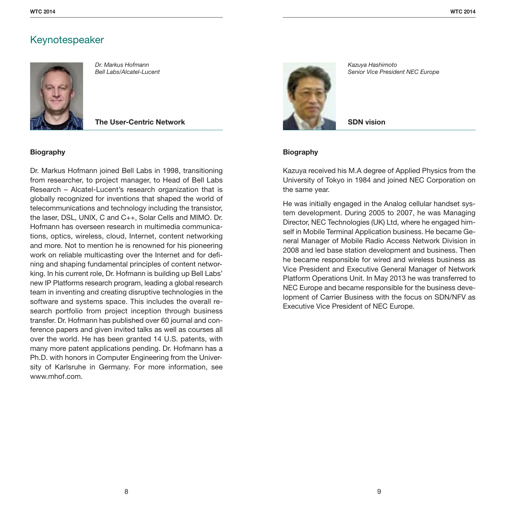# Keynotespeaker



Dr. Markus Hofmann Bell Labs/Alcatel-Lucent

**The User-Centric Network**

#### **Biography**

Dr. Markus Hofmann joined Bell Labs in 1998, transitioning from researcher, to project manager, to Head of Bell Labs Research – Alcatel-Lucent's research organization that is globally recognized for inventions that shaped the world of telecommunications and technology including the transistor, the laser, DSL, UNIX, C and C++, Solar Cells and MIMO. Dr. Hofmann has overseen research in multimedia communications, optics, wireless, cloud, Internet, content networking and more. Not to mention he is renowned for his pioneering work on reliable multicasting over the Internet and for defining and shaping fundamental principles of content networking. In his current role, Dr. Hofmann is building up Bell Labs' new IP Platforms research program, leading a global research team in inventing and creating disruptive technologies in the software and systems space. This includes the overall research portfolio from project inception through business transfer. Dr. Hofmann has published over 60 journal and conference papers and given invited talks as well as courses all over the world. He has been granted 14 U.S. patents, with many more patent applications pending. Dr. Hofmann has a Ph.D. with honors in Computer Engineering from the University of Karlsruhe in Germany. For more information, see www.mhof.com.



Kazuya Hashimoto Senior Vice President NEC Europe

**SDN vision**

#### **Biography**

Kazuya received his M.A degree of Applied Physics from the University of Tokyo in 1984 and joined NEC Corporation on the same year.

He was initially engaged in the Analog cellular handset system development. During 2005 to 2007, he was Managing Director, NEC Technologies (UK) Ltd, where he engaged himself in Mobile Terminal Application business. He became General Manager of Mobile Radio Access Network Division in 2008 and led base station development and business. Then he became responsible for wired and wireless business as Vice President and Executive General Manager of Network Platform Operations Unit. In May 2013 he was transferred to NEC Europe and became responsible for the business development of Carrier Business with the focus on SDN/NFV as Executive Vice President of NEC Europe.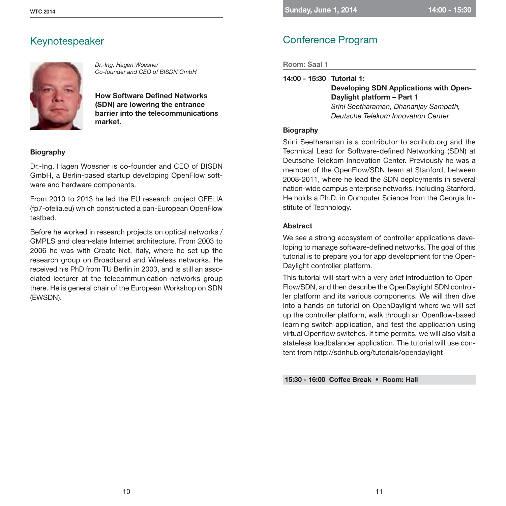

Dr.-Ing. Hagen Woesner Co-founder and CEO of BISDN GmbH

**How Software Defined Networks (SDN) are lowering the entrance barrier into the telecommunications market.**

# **Biography**

Dr.-Ing. Hagen Woesner is co-founder and CEO of BISDN GmbH, a Berlin-based startup developing OpenFlow software and hardware components.

From 2010 to 2013 he led the EU research project OFELIA (fp7-ofelia.eu) which constructed a pan-European OpenFlow testbed.

Before he worked in research projects on optical networks / GMPLS and clean-slate Internet architecture. From 2003 to 2006 he was with Create-Net, Italy, where he set up the research group on Broadband and Wireless networks. He received his PhD from TU Berlin in 2003, and is still an associated lecturer at the telecommunication networks group there. He is general chair of the European Workshop on SDN (EWSDN).

# Conference Program

### **Room: Saal 1**

**14:00 - 15:30 Tutorial 1: Developing SDN Applications with Open-Daylight platform – Part 1** Srini Seetharaman, Dhananjay Sampath, Deutsche Telekom Innovation Center

# **Biography**

Srini Seetharaman is a contributor to sdnhub.org and the Technical Lead for Software-defined Networking (SDN) at Deutsche Telekom Innovation Center. Previously he was a member of the OpenFlow/SDN team at Stanford, between 2008-2011, where he lead the SDN deployments in several nation-wide campus enterprise networks, including Stanford. He holds a Ph.D. in Computer Science from the Georgia Institute of Technology.

# **Abstract**

We see a strong ecosystem of controller applications developing to manage software-defined networks. The goal of this tutorial is to prepare you for app development for the Open-Daylight controller platform.

This tutorial will start with a very brief introduction to Open-Flow/SDN, and then describe the OpenDaylight SDN controller platform and its various components. We will then dive into a hands-on tutorial on OpenDaylight where we will set up the controller platform, walk through an Openflow-based learning switch application, and test the application using virtual Openflow switches. If time permits, we will also visit a stateless loadbalancer application. The tutorial will use content from http://sdnhub.org/tutorials/opendaylight

**15:30 - 16:00 Coffee Break** • **Room: Hall**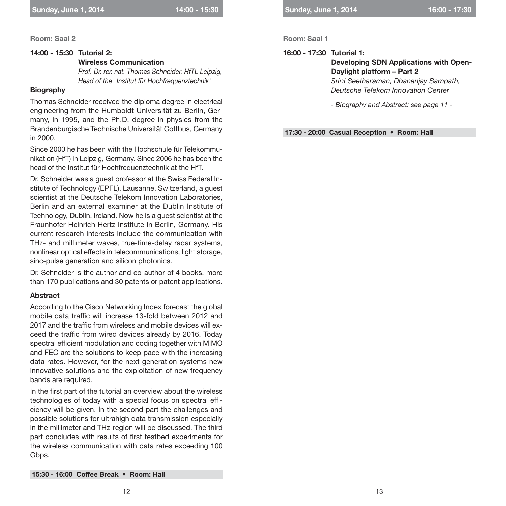**Room: Saal 2** 

#### **14:00 - 15:30 Tutorial 2:**

#### **Wireless Communication**

Prof. Dr. rer. nat. Thomas Schneider, HfTL Leipzig, Head of the "Institut für Hochfrequenztechnik"

# **Biography**

Thomas Schneider received the diploma degree in electrical engineering from the Humboldt Universität zu Berlin, Germany, in 1995, and the Ph.D. degree in physics from the Brandenburgische Technische Universität Cottbus, Germany in 2000.

Since 2000 he has been with the Hochschule für Telekommunikation (HfT) in Leipzig, Germany. Since 2006 he has been the head of the Institut für Hochfrequenztechnik at the HfT.

Dr. Schneider was a guest professor at the Swiss Federal Institute of Technology (EPFL), Lausanne, Switzerland, a guest scientist at the Deutsche Telekom Innovation Laboratories. Berlin and an external examiner at the Dublin Institute of Technology, Dublin, Ireland. Now he is a guest scientist at the Fraunhofer Heinrich Hertz Institute in Berlin, Germany. His current research interests include the communication with THz- and millimeter waves, true-time-delay radar systems, nonlinear optical effects in telecommunications, light storage, sinc-pulse generation and silicon photonics.

Dr. Schneider is the author and co-author of 4 books, more than 170 publications and 30 patents or patent applications.

#### **Abstract**

According to the Cisco Networking Index forecast the global mobile data traffic will increase 13-fold between 2012 and 2017 and the traffic from wireless and mobile devices will exceed the traffic from wired devices already by 2016. Today spectral efficient modulation and coding together with MIMO and FEC are the solutions to keep pace with the increasing data rates. However, for the next generation systems new innovative solutions and the exploitation of new frequency bands are required.

In the first part of the tutorial an overview about the wireless technologies of today with a special focus on spectral efficiency will be given. In the second part the challenges and possible solutions for ultrahigh data transmission especially in the millimeter and THz-region will be discussed. The third part concludes with results of first testbed experiments for the wireless communication with data rates exceeding 100 Gbps.

12

**Room: Saal 1** 

# **16:00 - 17:30 Tutorial 1:**

**Developing SDN Applications with Open-Daylight platform – Part 2** Srini Seetharaman, Dhananjay Sampath, Deutsche Telekom Innovation Center

- Biography and Abstract: see page 11 -

**17:30 - 20:00 Casual Reception** • **Room: Hall**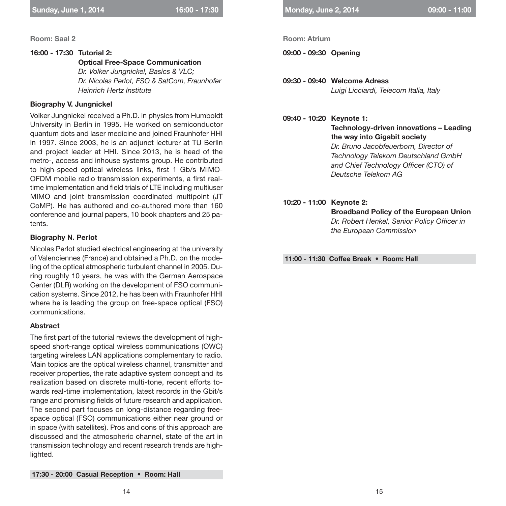**Room: Saal 2** 

#### **16:00 - 17:30 Tutorial 2:**

**Optical Free-Space Communication**

Dr. Volker Jungnickel, Basics & VLC; Dr. Nicolas Perlot, FSO & SatCom, Fraunhofer Heinrich Hertz Institute

#### **Biography V. Jungnickel**

Volker Jungnickel received a Ph.D. in physics from Humboldt University in Berlin in 1995. He worked on semiconductor quantum dots and laser medicine and joined Fraunhofer HHI in 1997. Since 2003, he is an adjunct lecturer at TU Berlin and project leader at HHI. Since 2013, he is head of the metro-, access and inhouse systems group. He contributed to high-speed optical wireless links, first 1 Gb/s MIMO-OFDM mobile radio transmission experiments, a first realtime implementation and field trials of LTE including multiuser MIMO and joint transmission coordinated multipoint (JT CoMP). He has authored and co-authored more than 160 conference and journal papers, 10 book chapters and 25 patents.

#### **Biography N. Perlot**

Nicolas Perlot studied electrical engineering at the university of Valenciennes (France) and obtained a Ph.D. on the modeling of the optical atmospheric turbulent channel in 2005. During roughly 10 years, he was with the German Aerospace Center (DLR) working on the development of FSO communication systems. Since 2012, he has been with Fraunhofer HHI where he is leading the group on free-space optical (FSO) communications.

#### **Abstract**

The first part of the tutorial reviews the development of highspeed short-range optical wireless communications (OWC) targeting wireless LAN applications complementary to radio. Main topics are the optical wireless channel, transmitter and receiver properties, the rate adaptive system concept and its realization based on discrete multi-tone, recent efforts towards real-time implementation, latest records in the Gbit/s range and promising fields of future research and application. The second part focuses on long-distance regarding freespace optical (FSO) communications either near ground or in space (with satellites). Pros and cons of this approach are discussed and the atmospheric channel, state of the art in transmission technology and recent research trends are highlighted.

#### **Room: Atrium**

**09:00 - 09:30 Opening**

**09:30 - 09:40 Welcome Adress** Luigi Licciardi, Telecom Italia, Italy

**09:40 - 10:20 Keynote 1: Technology-driven innovations – Leading the way into Gigabit society** Dr. Bruno Jacobfeuerborn, Director of Technology Telekom Deutschland GmbH and Chief Technology Officer (CTO) of Deutsche Telekom AG

**10:20 - 11:00 Keynote 2: Broadband Policy of the European Union** Dr. Robert Henkel, Senior Policy Officer in the European Commission

**11:00 - 11:30 Coffee Break** • **Room: Hall**

**17:30 - 20:00 Casual Reception** • **Room: Hall**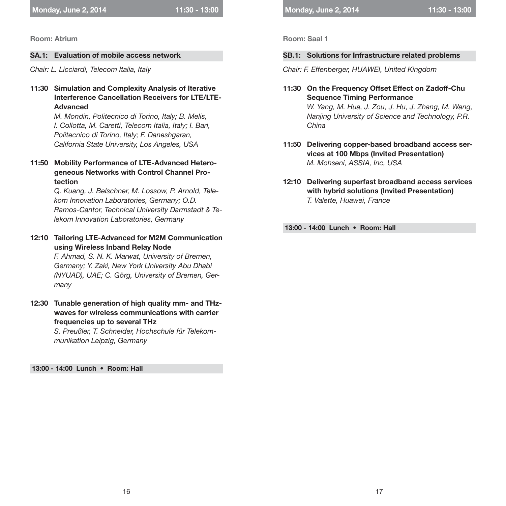**Room: Atrium** 

# **SA.1: Evaluation of mobile access network**

Chair: L. Licciardi, Telecom Italia, Italy

**11:30 Simulation and Complexity Analysis of Iterative Interference Cancellation Receivers for LTE/LTE-Advanced**

> M. Mondin, Politecnico di Torino, Italy; B. Melis, I. Collotta, M. Caretti, Telecom Italia, Italy; I. Bari, Politecnico di Torino, Italy; F. Daneshgaran, California State University, Los Angeles, USA

**11:50 Mobility Performance of LTE-Advanced Heterogeneous Networks with Control Channel Protection**

> Q. Kuang, J. Belschner, M. Lossow, P. Arnold, Telekom Innovation Laboratories, Germany; O.D. Ramos-Cantor, Technical University Darmstadt & Telekom Innovation Laboratories, Germany

# **12:10 Tailoring LTE-Advanced for M2M Communication using Wireless Inband Relay Node**

F. Ahmad, S. N. K. Marwat, University of Bremen, Germany; Y. Zaki, New York University Abu Dhabi (NYUAD), UAE; C. Görg, University of Bremen, Germany

**12:30 Tunable generation of high quality mm- and THzwaves for wireless communications with carrier frequencies up to several THz**

> S. Preußler, T. Schneider, Hochschule für Telekommunikation Leipzig, Germany

**13:00 - 14:00 Lunch** • **Room: Hall**

#### **Room: Saal 1**

# **SB.1: Solutions for Infrastructure related problems**

Chair: F. Effenberger, HUAWEI, United Kingdom

- **11:30 On the Frequency Offset Effect on Zadoff-Chu Sequence Timing Performance** W. Yang, M. Hua, J. Zou, J. Hu, J. Zhang, M. Wang, Nanjing University of Science and Technology, P.R. China
- **11:50 Delivering copper-based broadband access services at 100 Mbps (Invited Presentation)** M. Mohseni, ASSIA, Inc, USA
- **12:10 Delivering superfast broadband access services with hybrid solutions (Invited Presentation)** T. Valette, Huawei, France

**13:00 - 14:00 Lunch** • **Room: Hall**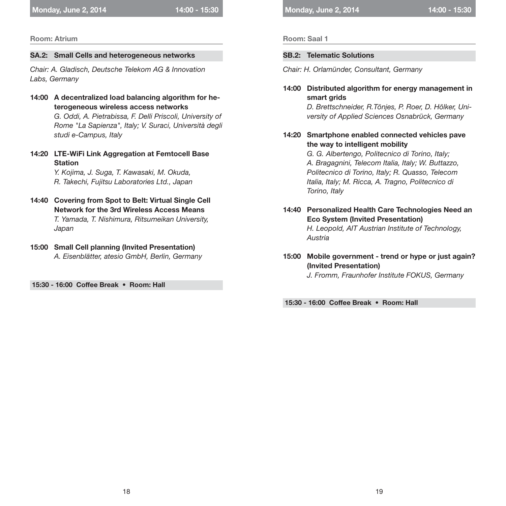**Room: Atrium** 

# **SA.2: Small Cells and heterogeneous networks**

Chair: A. Gladisch, Deutsche Telekom AG & Innovation Labs, Germany

**14:00 A decentralized load balancing algorithm for heterogeneous wireless access networks**

G. Oddi, A. Pietrabissa, F. Delli Priscoli, University of Rome "La Sapienza", Italy; V. Suraci, Università degli studi e-Campus, Italy

**14:20 LTE-WiFi Link Aggregation at Femtocell Base Station**

Y. Kojima, J. Suga, T. Kawasaki, M. Okuda, R. Takechi, Fujitsu Laboratories Ltd., Japan

- **14:40 Covering from Spot to Belt: Virtual Single Cell Network for the 3rd Wireless Access Means** T. Yamada, T. Nishimura, Ritsumeikan University, Japan
- **15:00 Small Cell planning (Invited Presentation)** A. Eisenblätter, atesio GmbH, Berlin, Germany

**15:30 - 16:00 Coffee Break** • **Room: Hall**

#### **Room: Saal 1**

### **SB.2: Telematic Solutions**

Chair: H. Orlamünder, Consultant, Germany

# **14:00 Distributed algorithm for energy management in smart grids**

D. Brettschneider, R.Tönjes, P. Roer, D. Hölker, University of Applied Sciences Osnabrück, Germany

# **14:20 Smartphone enabled connected vehicles pave the way to intelligent mobility**

G. G. Albertengo, Politecnico di Torino, Italy; A. Bragagnini, Telecom Italia, Italy; W. Buttazzo, Politecnico di Torino, Italy; R. Quasso, Telecom Italia, Italy; M. Ricca, A. Tragno, Politecnico di Torino, Italy

**14:40 Personalized Health Care Technologies Need an Eco System (Invited Presentation)** H. Leopold, AIT Austrian Institute of Technology, Austria

# **15:00 Mobile government - trend or hype or just again? (Invited Presentation)**

J. Fromm, Fraunhofer Institute FOKUS, Germany

**15:30 - 16:00 Coffee Break** • **Room: Hall**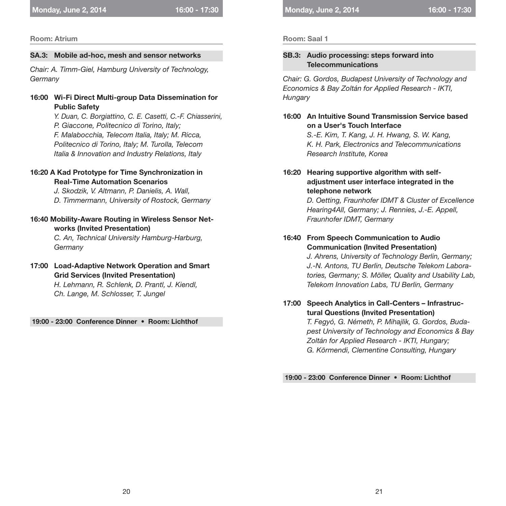# **SA.3: Mobile ad-hoc, mesh and sensor networks**

Chair: A. Timm-Giel, Hamburg University of Technology, **Germany** 

# **16:00 Wi-Fi Direct Multi-group Data Dissemination for Public Safety**

Y. Duan, C. Borgiattino, C. E. Casetti, C.-F. Chiasserini, P. Giaccone, Politecnico di Torino, Italy; F. Malabocchia, Telecom Italia, Italy; M. Ricca, Politecnico di Torino, Italy; M. Turolla, Telecom Italia & Innovation and Industry Relations, Italy

# **16:20 A Kad Prototype for Time Synchronization in Real-Time Automation Scenarios**

J. Skodzik, V. Altmann, P. Danielis, A. Wall, D. Timmermann, University of Rostock, Germany

# **16:40 Mobility-Aware Routing in Wireless Sensor Networks (Invited Presentation)**

C. An, Technical University Hamburg-Harburg, **Germany** 

# **17:00 Load-Adaptive Network Operation and Smart Grid Services (Invited Presentation)**

H. Lehmann, R. Schlenk, D. Prantl, J. Kiendl, Ch. Lange, M. Schlosser, T. Jungel

**19:00 - 23:00 Conference Dinner** • **Room: Lichthof**

### **Room: Saal 1**

# **SB.3: Audio processing: steps forward into Telecommunications**

Chair: G. Gordos, Budapest University of Technology and Economics & Bay Zoltán for Applied Research - IKTI, **Hungary** 

# **16:00 An Intuitive Sound Transmission Service based on a User's Touch Interface**

S.-E. Kim, T. Kang, J. H. Hwang, S. W. Kang, K. H. Park, Electronics and Telecommunications Research Institute, Korea

**16:20 Hearing supportive algorithm with selfadjustment user interface integrated in the telephone network**

D. Oetting, Fraunhofer IDMT & Cluster of Excellence Hearing4All, Germany; J. Rennies, J.-E. Appell, Fraunhofer IDMT, Germany

# **16:40 From Speech Communication to Audio Communication (Invited Presentation)**

J. Ahrens, University of Technology Berlin, Germany; J.-N. Antons, TU Berlin, Deutsche Telekom Laboratories, Germany; S. Möller, Quality and Usability Lab, Telekom Innovation Labs, TU Berlin, Germany

# **17:00 Speech Analytics in Call-Centers – Infrastruc tural Questions (Invited Presentation)** T. Fegyó, G. Németh, P. Mihajlik, G. Gordos, Budapest University of Technology and Economics & Bay Zoltán for Applied Research - IKTI, Hungary; G. Körmendi, Clementine Consulting, Hungary

**19:00 - 23:00 Conference Dinner** • **Room: Lichthof**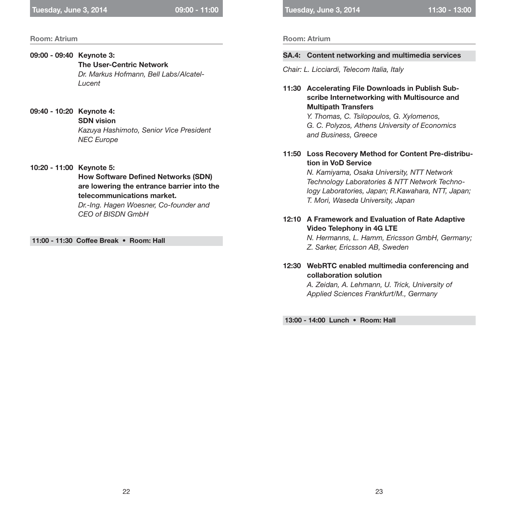**Room: Atrium**

# **09:00 - 09:40 Keynote 3: The User-Centric Network** Dr. Markus Hofmann, Bell Labs/Alcatel-Lucent

# **09:40 - 10:20 Keynote 4: SDN vision**

Kazuya Hashimoto, Senior Vice President NEC Europe

# **10:20 - 11:00 Keynote 5:**

**How Software Defined Networks (SDN) are lowering the entrance barrier into the telecommunications market.**

Dr.-Ing. Hagen Woesner, Co-founder and CEO of BISDN GmbH

**11:00 - 11:30 Coffee Break** • **Room: Hall**

### **Room: Atrium**

# **SA.4: Content networking and multimedia services**

Chair: L. Licciardi, Telecom Italia, Italy

**11:30 Accelerating File Downloads in Publish Subscribe Internetworking with Multisource and Multipath Transfers** Y. Thomas, C. Tsilopoulos, G. Xylomenos,

G. C. Polyzos, Athens University of Economics and Business, Greece

# **11:50 Loss Recovery Method for Content Pre-distribution in VoD Service**

N. Kamiyama, Osaka University, NTT Network Technology Laboratories & NTT Network Technology Laboratories, Japan; R.Kawahara, NTT, Japan; T. Mori, Waseda University, Japan

# **12:10 A Framework and Evaluation of Rate Adaptive Video Telephony in 4G LTE**

N. Hermanns, L. Hamm, Ericsson GmbH, Germany; Z. Sarker, Ericsson AB, Sweden

# **12:30 WebRTC enabled multimedia conferencing and collaboration solution**

A. Zeidan, A. Lehmann, U. Trick, University of Applied Sciences Frankfurt/M., Germany

**13:00 - 14:00 Lunch** • **Room: Hall**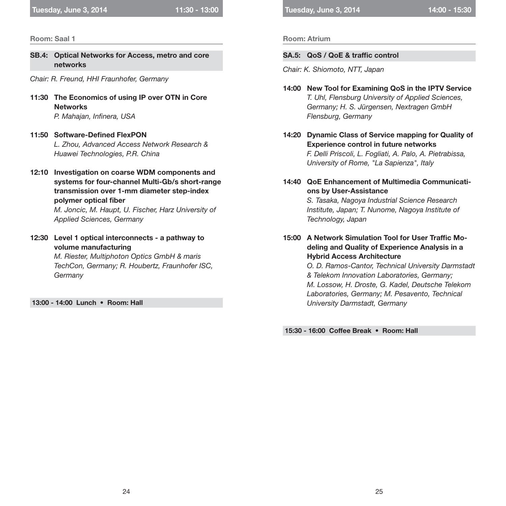# **SB.4: Optical Networks for Access, metro and core networks**

Chair: R. Freund, HHI Fraunhofer, Germany

- **11:30 The Economics of using IP over OTN in Core Networks** P. Mahajan, Infinera, USA
- **11:50 Software-Defined FlexPON** L. Zhou, Advanced Access Network Research & Huawei Technologies, P.R. China
- **12:10 Investigation on coarse WDM components and systems for four-channel Multi-Gb/s short-range transmission over 1-mm diameter step-index polymer optical fiber**

M. Joncic, M. Haupt, U. Fischer, Harz University of Applied Sciences, Germany

**12:30 Level 1 optical interconnects - a pathway to volume manufacturing** M. Riester, Multiphoton Optics GmbH & maris

TechCon, Germany; R. Houbertz, Fraunhofer ISC, **Germany** 

**13:00 - 14:00 Lunch** • **Room: Hall**

### **Room: Atrium**

# **SA.5: QoS / QoE & traffic control**

Chair: K. Shiomoto, NTT, Japan

- **14:00 New Tool for Examining QoS in the IPTV Service** T. Uhl, Flensburg University of Applied Sciences, Germany; H. S. Jürgensen, Nextragen GmbH Flensburg, Germany
- **14:20 Dynamic Class of Service mapping for Quality of Experience control in future networks** F. Delli Priscoli, L. Fogliati, A. Palo, A. Pietrabissa, University of Rome, "La Sapienza", Italy
- **14:40 QoE Enhancement of Multimedia Communications by User-Assistance**

S. Tasaka, Nagoya Industrial Science Research Institute, Japan; T. Nunome, Nagoya Institute of Technology, Japan

**15:00 A Network Simulation Tool for User Traffic Modeling and Quality of Experience Analysis in a Hybrid Access Architecture**

O. D. Ramos-Cantor, Technical University Darmstadt & Telekom Innovation Laboratories, Germany; M. Lossow, H. Droste, G. Kadel, Deutsche Telekom Laboratories, Germany; M. Pesavento, Technical University Darmstadt, Germany

**15:30 - 16:00 Coffee Break** • **Room: Hall**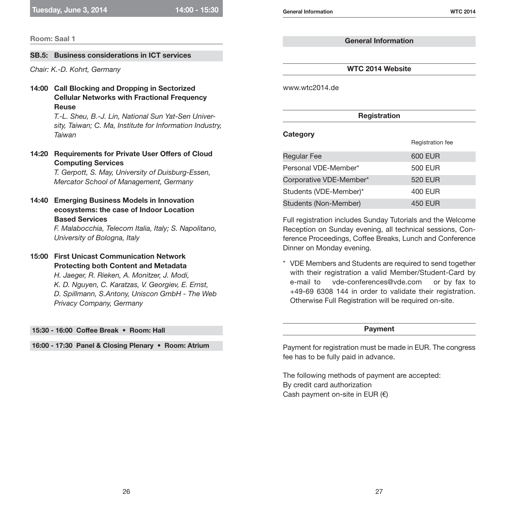**General Information WTC 2014**

**Room: Saal 1** 

#### **SB.5: Business considerations in ICT services**

Chair: K.-D. Kohrt, Germany

**14:00 Call Blocking and Dropping in Sectorized Cellular Networks with Fractional Frequency Reuse**

> T.-L. Sheu, B.-J. Lin, National Sun Yat-Sen University, Taiwan; C. Ma, Institute for Information Industry, Taiwan

**14:20 Requirements for Private User Offers of Cloud Computing Services**

T. Gerpott, S. May, University of Duisburg-Essen, Mercator School of Management, Germany

# **14:40 Emerging Business Models in Innovation ecosystems: the case of Indoor Location Based Services**

F. Malabocchia, Telecom Italia, Italy; S. Napolitano, University of Bologna, Italy

# **15:00 First Unicast Communication Network Protecting both Content and Metadata**

H. Jaeger, R. Rieken, A. Monitzer, J. Modi, K. D. Nguyen, C. Karatzas, V. Georgiev, E. Ernst, D. Spillmann, S.Antony, Uniscon GmbH - The Web Privacy Company, Germany

**15:30 - 16:00 Coffee Break** • **Room: Hall**

#### **16:00 - 17:30 Panel & Closing Plenary** • **Room: Atrium**

**General Information** 

#### **WTC 2014 Website**

www.wtc2014.de

### **Registration**

# **Category**

|                         | Registration fee |
|-------------------------|------------------|
| Regular Fee             | 600 EUR          |
| Personal VDE-Member*    | 500 EUR          |
| Corporative VDE-Member* | 520 EUR          |
| Students (VDE-Member)*  | 400 EUR          |
| Students (Non-Member)   | 450 EUR          |

Full registration includes Sunday Tutorials and the Welcome Reception on Sunday evening, all technical sessions, Conference Proceedings, Coffee Breaks, Lunch and Conference Dinner on Monday evening.

\* VDE Members and Students are required to send together with their registration a valid Member/Student-Card by e-mail to vde-conferences@vde.com or by fax to +49-69 6308 144 in order to validate their registration. Otherwise Full Registration will be required on-site.

#### **Payment**

Payment for registration must be made in EUR. The congress fee has to be fully paid in advance.

The following methods of payment are accepted: By credit card authorization Cash payment on-site in EUR (€)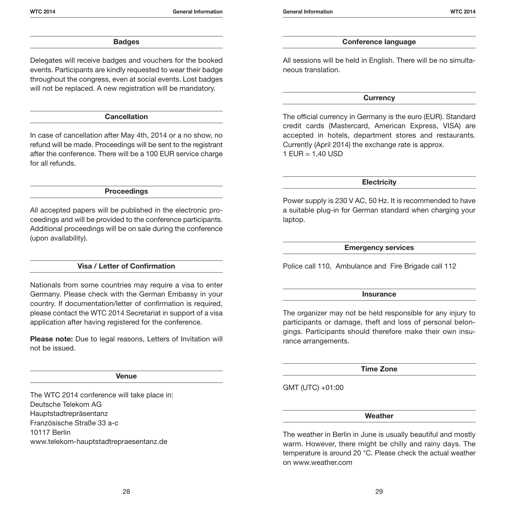**WTC 2014 General Information General Information WTC 2014**

#### **Badges**

Delegates will receive badges and vouchers for the booked events. Participants are kindly requested to wear their badge throughout the congress, even at social events. Lost badges will not be replaced. A new registration will be mandatory.

# **Cancellation**

In case of cancellation after May 4th, 2014 or a no show, no refund will be made. Proceedings will be sent to the registrant after the conference. There will be a 100 EUR service charge for all refunds.

### **Proceedings**

All accepted papers will be published in the electronic proceedings and will be provided to the conference participants. Additional proceedings will be on sale during the conference (upon availability).

# **Visa / Letter of Confirmation**

Nationals from some countries may require a visa to enter Germany. Please check with the German Embassy in your country. If documentation/letter of confirmation is required, please contact the WTC 2014 Secretariat in support of a visa application after having registered for the conference.

**Please note:** Due to legal reasons, Letters of Invitation will not be issued.

**Venue**

The WTC 2014 conference will take place in: Deutsche Telekom AG Hauptstadtrepräsentanz Französische Straße 33 a-c 10117 Berlin www.telekom-hauptstadtrepraesentanz.de

#### **Conference language**

All sessions will be held in English. There will be no simultaneous translation.

#### **Currency**

The official currency in Germany is the euro (EUR). Standard credit cards (Mastercard, American Express, VISA) are accepted in hotels, department stores and restaurants. Currently (April 2014) the exchange rate is approx. 1 EUR = 1,40 USD

#### **Electricity**

Power supply is 230 V AC, 50 Hz. It is recommended to have a suitable plug-in for German standard when charging your laptop.

#### **Emergency services**

Police call 110, Ambulance and Fire Brigade call 112

#### **Insurance**

The organizer may not be held responsible for any injury to participants or damage, theft and loss of personal belongings. Participants should therefore make their own insurance arrangements.

#### **Time Zone**

GMT (UTC) +01:00

### **Weather**

The weather in Berlin in June is usually beautiful and mostly warm. However, there might be chilly and rainy days. The temperature is around 20 °C. Please check the actual weather on www.weather.com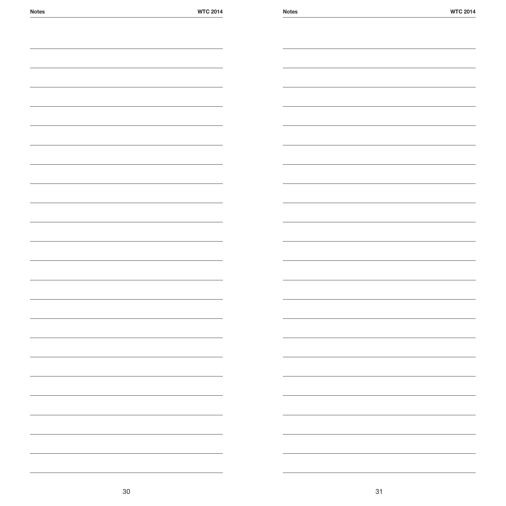| Notes                                                                      | <b>WTC 2014</b> | Notes                                                                                                                  | <b>WTC 2014</b> |
|----------------------------------------------------------------------------|-----------------|------------------------------------------------------------------------------------------------------------------------|-----------------|
|                                                                            |                 |                                                                                                                        |                 |
|                                                                            |                 |                                                                                                                        |                 |
|                                                                            |                 |                                                                                                                        |                 |
|                                                                            |                 |                                                                                                                        |                 |
|                                                                            |                 |                                                                                                                        |                 |
|                                                                            |                 |                                                                                                                        |                 |
|                                                                            |                 |                                                                                                                        |                 |
|                                                                            |                 |                                                                                                                        |                 |
|                                                                            |                 |                                                                                                                        |                 |
|                                                                            |                 |                                                                                                                        |                 |
|                                                                            |                 |                                                                                                                        |                 |
|                                                                            |                 |                                                                                                                        |                 |
|                                                                            |                 |                                                                                                                        |                 |
|                                                                            |                 |                                                                                                                        |                 |
|                                                                            |                 |                                                                                                                        |                 |
|                                                                            |                 |                                                                                                                        |                 |
|                                                                            |                 |                                                                                                                        |                 |
|                                                                            |                 |                                                                                                                        |                 |
|                                                                            |                 |                                                                                                                        |                 |
|                                                                            |                 |                                                                                                                        |                 |
|                                                                            |                 |                                                                                                                        |                 |
|                                                                            |                 |                                                                                                                        |                 |
|                                                                            |                 |                                                                                                                        |                 |
|                                                                            |                 |                                                                                                                        |                 |
|                                                                            |                 |                                                                                                                        |                 |
|                                                                            |                 |                                                                                                                        |                 |
|                                                                            |                 |                                                                                                                        |                 |
|                                                                            |                 |                                                                                                                        |                 |
|                                                                            |                 |                                                                                                                        |                 |
|                                                                            |                 |                                                                                                                        |                 |
|                                                                            |                 |                                                                                                                        |                 |
|                                                                            |                 |                                                                                                                        |                 |
|                                                                            |                 |                                                                                                                        |                 |
|                                                                            |                 |                                                                                                                        |                 |
|                                                                            |                 |                                                                                                                        |                 |
|                                                                            |                 |                                                                                                                        |                 |
|                                                                            |                 |                                                                                                                        |                 |
|                                                                            |                 |                                                                                                                        |                 |
|                                                                            |                 |                                                                                                                        |                 |
|                                                                            |                 |                                                                                                                        |                 |
|                                                                            |                 |                                                                                                                        |                 |
|                                                                            |                 |                                                                                                                        |                 |
|                                                                            |                 |                                                                                                                        |                 |
|                                                                            |                 |                                                                                                                        |                 |
|                                                                            |                 |                                                                                                                        |                 |
|                                                                            |                 |                                                                                                                        |                 |
|                                                                            |                 |                                                                                                                        |                 |
|                                                                            |                 |                                                                                                                        |                 |
|                                                                            |                 |                                                                                                                        |                 |
|                                                                            |                 |                                                                                                                        |                 |
|                                                                            |                 |                                                                                                                        |                 |
|                                                                            |                 |                                                                                                                        |                 |
|                                                                            |                 |                                                                                                                        |                 |
|                                                                            |                 |                                                                                                                        |                 |
|                                                                            |                 |                                                                                                                        |                 |
|                                                                            |                 |                                                                                                                        |                 |
|                                                                            |                 |                                                                                                                        |                 |
|                                                                            |                 |                                                                                                                        |                 |
|                                                                            |                 |                                                                                                                        |                 |
|                                                                            |                 |                                                                                                                        |                 |
|                                                                            |                 |                                                                                                                        |                 |
|                                                                            |                 |                                                                                                                        |                 |
|                                                                            |                 |                                                                                                                        |                 |
|                                                                            |                 |                                                                                                                        |                 |
| <u> 1989 - Johann Stein, mars an deus Amerikaansk kommunister (* 1958)</u> |                 | <u> 1989 - Johann Stein, mars an deus Amerikaansk kommunister (</u>                                                    |                 |
|                                                                            |                 |                                                                                                                        |                 |
|                                                                            |                 |                                                                                                                        |                 |
| <u> 1989 - Andrea Stadt Britain, amerikansk politik (d. 1989)</u>          |                 |                                                                                                                        |                 |
|                                                                            |                 |                                                                                                                        |                 |
|                                                                            |                 |                                                                                                                        |                 |
|                                                                            |                 |                                                                                                                        |                 |
|                                                                            |                 | <u> 1980 - Jan Stein Harry Harry Harry Harry Harry Harry Harry Harry Harry Harry Harry Harry Harry Harry Harry Har</u> |                 |
|                                                                            |                 |                                                                                                                        |                 |
|                                                                            |                 |                                                                                                                        |                 |
| <u> 1989 - Johann Barbara, markazar margolar (h. 1989).</u>                |                 | <u> La Carlo de la Carlo de la Carlo de la Carlo de la Carlo de la Carlo de la Carlo de la Carlo de la Carlo de l</u>  |                 |
|                                                                            |                 |                                                                                                                        |                 |
|                                                                            |                 |                                                                                                                        |                 |